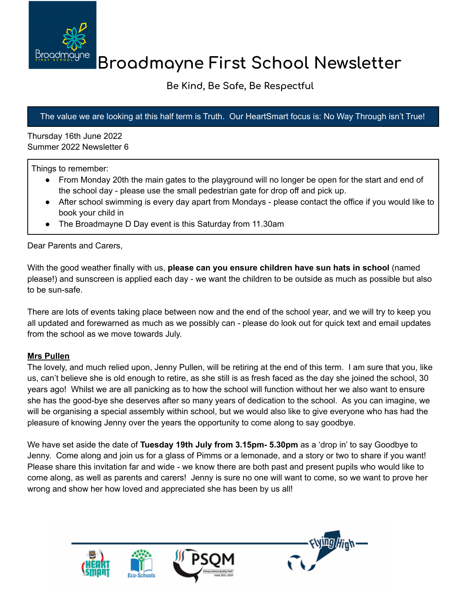

# **Broadmayne First School Newsletter**

# **Be Kind, Be Safe, Be Respectful**

## The value we are looking at this half term is Truth. Our HeartSmart focus is: No Way Through isn't True!

Thursday 16th June 2022 Summer 2022 Newsletter 6

Things to remember:

- From Monday 20th the main gates to the playground will no longer be open for the start and end of the school day - please use the small pedestrian gate for drop off and pick up.
- After school swimming is every day apart from Mondays please contact the office if you would like to book your child in
- The Broadmayne D Day event is this Saturday from 11.30am

Dear Parents and Carers,

With the good weather finally with us, **please can you ensure children have sun hats in school** (named please!) and sunscreen is applied each day - we want the children to be outside as much as possible but also to be sun-safe.

There are lots of events taking place between now and the end of the school year, and we will try to keep you all updated and forewarned as much as we possibly can - please do look out for quick text and email updates from the school as we move towards July.

#### **Mrs Pullen**

The lovely, and much relied upon, Jenny Pullen, will be retiring at the end of this term. I am sure that you, like us, can't believe she is old enough to retire, as she still is as fresh faced as the day she joined the school, 30 years ago! Whilst we are all panicking as to how the school will function without her we also want to ensure she has the good-bye she deserves after so many years of dedication to the school. As you can imagine, we will be organising a special assembly within school, but we would also like to give everyone who has had the pleasure of knowing Jenny over the years the opportunity to come along to say goodbye.

We have set aside the date of **Tuesday 19th July from 3.15pm- 5.30pm** as a 'drop in' to say Goodbye to Jenny. Come along and join us for a glass of Pimms or a lemonade, and a story or two to share if you want! Please share this invitation far and wide - we know there are both past and present pupils who would like to come along, as well as parents and carers! Jenny is sure no one will want to come, so we want to prove her wrong and show her how loved and appreciated she has been by us all!

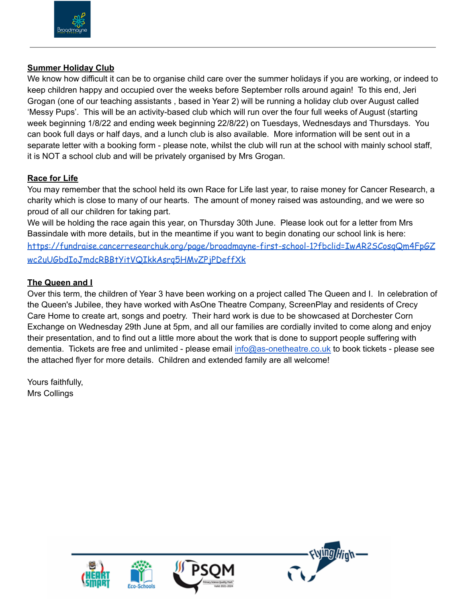

#### **Summer Holiday Club**

We know how difficult it can be to organise child care over the summer holidays if you are working, or indeed to keep children happy and occupied over the weeks before September rolls around again! To this end, Jeri Grogan (one of our teaching assistants , based in Year 2) will be running a holiday club over August called 'Messy Pups'. This will be an activity-based club which will run over the four full weeks of August (starting week beginning 1/8/22 and ending week beginning 22/8/22) on Tuesdays, Wednesdays and Thursdays. You can book full days or half days, and a lunch club is also available. More information will be sent out in a separate letter with a booking form - please note, whilst the club will run at the school with mainly school staff, it is NOT a school club and will be privately organised by Mrs Grogan.

#### **Race for Life**

You may remember that the school held its own Race for Life last year, to raise money for Cancer Research, a charity which is close to many of our hearts. The amount of money raised was astounding, and we were so proud of all our children for taking part.

We will be holding the race again this year, on Thursday 30th June. Please look out for a letter from Mrs Bassindale with more details, but in the meantime if you want to begin donating our school link is here: [https://fundraise.cancerresearchuk.org/page/broadmayne-first-school-1?fbclid=IwAR2SCosqQm4FpGZ](https://fundraise.cancerresearchuk.org/page/broadmayne-first-school-1?fbclid=IwAR2SCosqQm4FpGZwc2uUGbdIoJmdcRBBtYitVQIkkAsrq5HMvZPjPDeffXk) [wc2uUGbdIoJmdcRBBtYitVQIkkAsrq5HMvZPjPDeffXk](https://fundraise.cancerresearchuk.org/page/broadmayne-first-school-1?fbclid=IwAR2SCosqQm4FpGZwc2uUGbdIoJmdcRBBtYitVQIkkAsrq5HMvZPjPDeffXk)

#### **The Queen and I**

Over this term, the children of Year 3 have been working on a project called The Queen and I. In celebration of the Queen's Jubilee, they have worked with AsOne Theatre Company, ScreenPlay and residents of Crecy Care Home to create art, songs and poetry. Their hard work is due to be showcased at Dorchester Corn Exchange on Wednesday 29th June at 5pm, and all our families are cordially invited to come along and enjoy their presentation, and to find out a little more about the work that is done to support people suffering with dementia. Tickets are free and unlimited - please email [info@as-onetheatre.co.uk](mailto:info@as-onetheatre.co.uk) to book tickets - please see the attached flyer for more details. Children and extended family are all welcome!

Yours faithfully, Mrs Collings